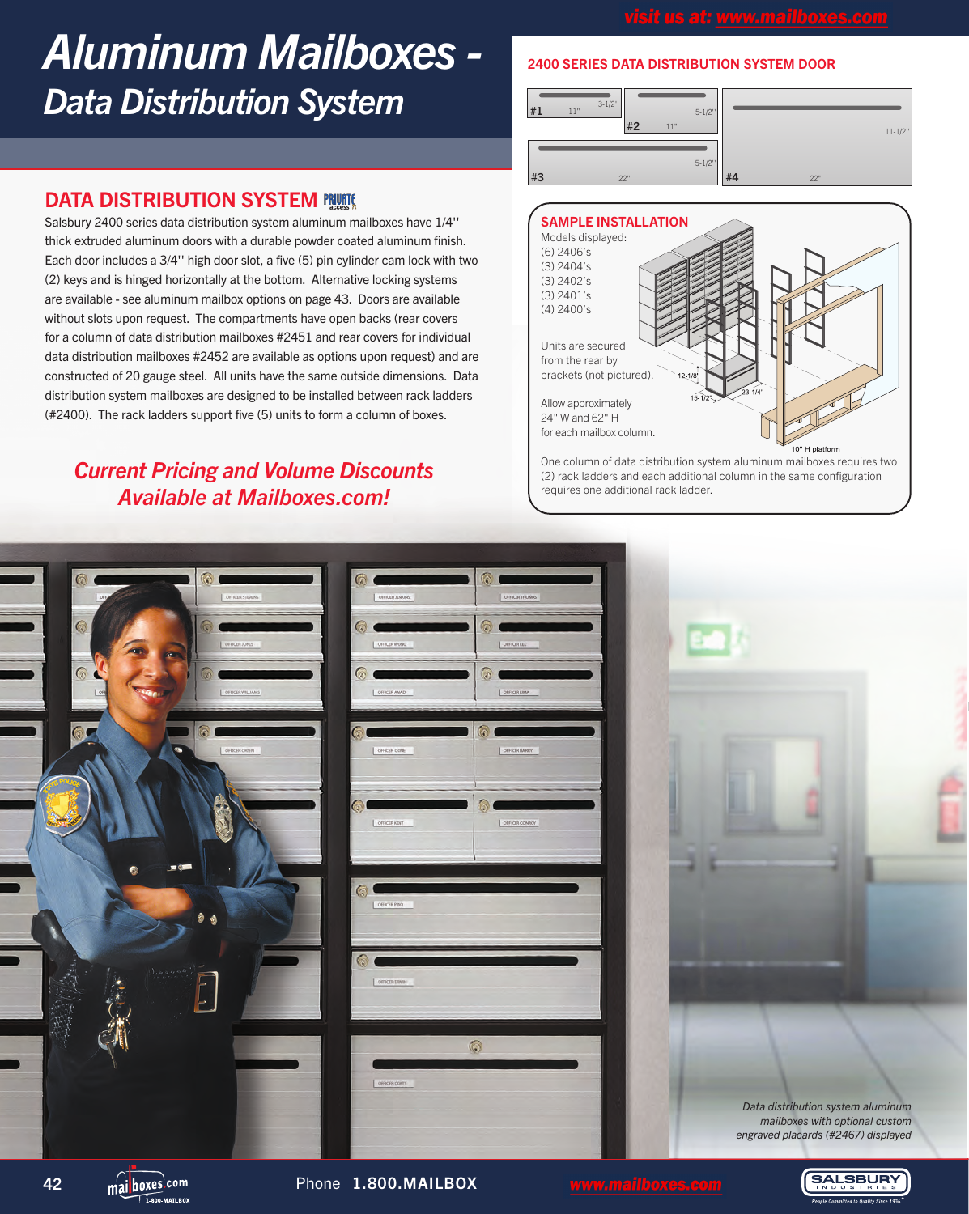## *Aluminum Mailboxes - Data Distribution System*

### **DATA DISTRIBUTION SYSTEM PRUSE**

Salsbury 2400 series data distribution system aluminum mailboxes have 1/4'' thick extruded aluminum doors with a durable powder coated aluminum finish. Each door includes a 3/4'' high door slot, a five (5) pin cylinder cam lock with two (2) keys and is hinged horizontally at the bottom. Alternative locking systems are available - see aluminum mailbox options on page 43. Doors are available without slots upon request. The compartments have open backs (rear covers for a column of data distribution mailboxes #2451 and rear covers for individual data distribution mailboxes #2452 are available as options upon request) and are constructed of 20 gauge steel. All units have the same outside dimensions. Data distribution system mailboxes are designed to be installed between rack ladders (#2400). The rack ladders support five (5) units to form a column of boxes.

### *Current Pricing and Volume Discounts Available at Mailboxes.com!*

### 2400 SERIES DATA DISTRIBUTION SYSTEM DOOR





(2) rack ladders and each additional column in the same configuration requires one additional rack ladder.



42 **mailboxes<sup>\com</sup> Phone 1.800.MAILBOX** 

**SALSBURY**